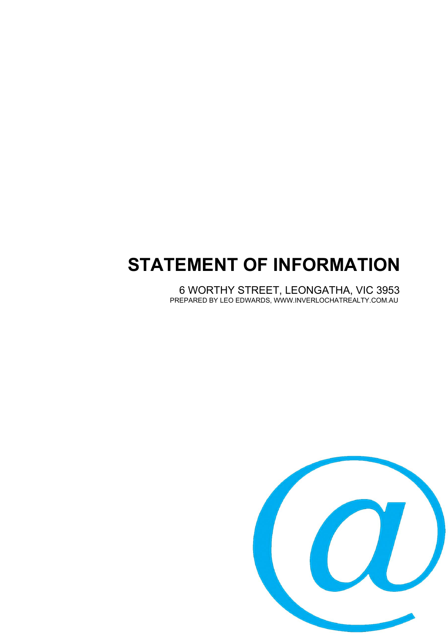# **STATEMENT OF INFORMATION**

6 WORTHY STREET, LEONGATHA, VIC 3953 PREPARED BY LEO EDWARDS, WWW.INVERLOCHATREALTY.COM.AU